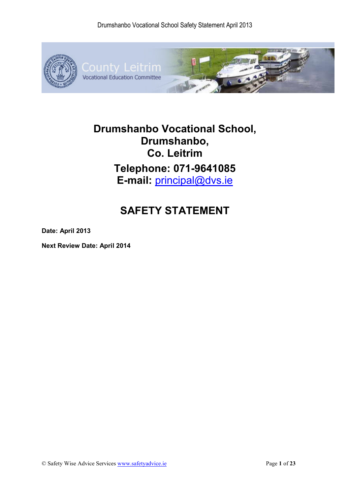

## **Drumshanbo Vocational School, Drumshanbo, Co. Leitrim Telephone: 071-9641085 E-mail:** principal@dvs.ie

## **SAFETY STATEMENT**

**Date: April 2013** 

**Next Review Date: April 2014**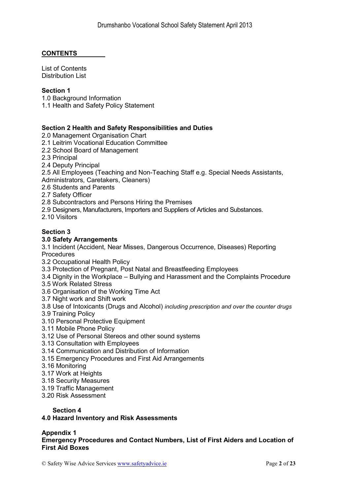## **CONTENTS**

List of Contents Distribution List

#### **Section 1**

1.0 Background Information

1.1 Health and Safety Policy Statement

## **Section 2 Health and Safety Responsibilities and Duties**

2.0 Management Organisation Chart

- 2.1 Leitrim Vocational Education Committee
- 2.2 School Board of Management
- 2.3 Principal

2.4 Deputy Principal

2.5 All Employees (Teaching and Non-Teaching Staff e.g. Special Needs Assistants, Administrators, Caretakers, Cleaners)

2.6 Students and Parents

2.7 Safety Officer

2.8 Subcontractors and Persons Hiring the Premises

2.9 Designers, Manufacturers, Importers and Suppliers of Articles and Substances.

2.10 Visitors

#### **Section 3**

#### **3.0 Safety Arrangements**

3.1 Incident (Accident, Near Misses, Dangerous Occurrence, Diseases) Reporting Procedures

- 3.2 Occupational Health Policy
- 3.3 Protection of Pregnant, Post Natal and Breastfeeding Employees
- 3.4 Dignity in the Workplace Bullying and Harassment and the Complaints Procedure
- 3.5 Work Related Stress
- 3.6 Organisation of the Working Time Act
- 3.7 Night work and Shift work
- 3.8 Use of Intoxicants (Drugs and Alcohol) *including prescription and over the counter drugs*
- 3.9 Training Policy
- 3.10 Personal Protective Equipment
- 3.11 Mobile Phone Policy
- 3.12 Use of Personal Stereos and other sound systems
- 3.13 Consultation with Employees
- 3.14 Communication and Distribution of Information
- 3.15 Emergency Procedures and First Aid Arrangements
- 3.16 Monitoring
- 3.17 Work at Heights
- 3.18 Security Measures
- 3.19 Traffic Management
- 3.20 Risk Assessment

#### **Section 4**

#### **4.0 Hazard Inventory and Risk Assessments**

#### **Appendix 1**

**Emergency Procedures and Contact Numbers, List of First Aiders and Location of First Aid Boxes**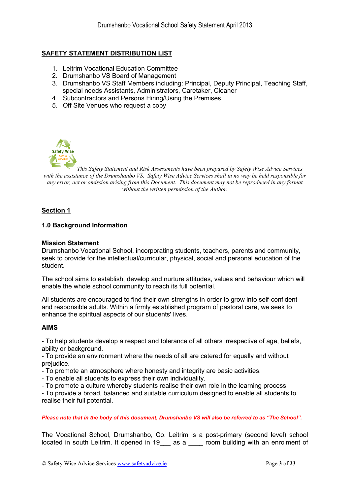## **SAFETY STATEMENT DISTRIBUTION LIST**

- 1. Leitrim Vocational Education Committee
- 2. Drumshanbo VS Board of Management
- 3. Drumshanbo VS Staff Members including: Principal, Deputy Principal, Teaching Staff, special needs Assistants, Administrators, Caretaker, Cleaner
- 4. Subcontractors and Persons Hiring/Using the Premises
- 5. Off Site Venues who request a copy



*This Safety Statement and Risk Assessments have been prepared by Safety Wise Advice Services with the assistance of the Drumshanbo VS. Safety Wise Advice Services shall in no way be held responsible for any error, act or omission arising from this Document. This document may not be reproduced in any format without the written permission of the Author.* 

#### **Section 1**

#### **1.0 Background Information**

#### **Mission Statement**

Drumshanbo Vocational School, incorporating students, teachers, parents and community, seek to provide for the intellectual/curricular, physical, social and personal education of the student.

The school aims to establish, develop and nurture attitudes, values and behaviour which will enable the whole school community to reach its full potential.

All students are encouraged to find their own strengths in order to grow into self-confident and responsible adults. Within a firmly established program of pastoral care, we seek to enhance the spiritual aspects of our students' lives.

#### **AIMS**

- To help students develop a respect and tolerance of all others irrespective of age, beliefs, ability or background.

- To provide an environment where the needs of all are catered for equally and without prejudice.

- To promote an atmosphere where honesty and integrity are basic activities.

- To enable all students to express their own individuality.

- To promote a culture whereby students realise their own role in the learning process

- To provide a broad, balanced and suitable curriculum designed to enable all students to realise their full potential.

*Please note that in the body of this document, Drumshanbo VS will also be referred to as "The School".*

The Vocational School, Drumshanbo, Co. Leitrim is a post-primary (second level) school located in south Leitrim. It opened in 19\_\_\_ as a \_\_\_\_ room building with an enrolment of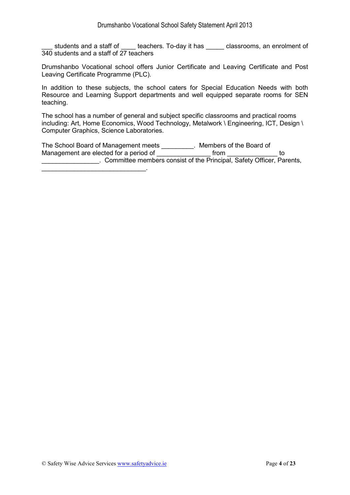\_\_\_ students and a staff of \_\_\_\_ teachers. To-day it has \_\_\_\_\_ classrooms, an enrolment of 340 students and a staff of 27 teachers

Drumshanbo Vocational school offers Junior Certificate and Leaving Certificate and Post Leaving Certificate Programme (PLC).

In addition to these subjects, the school caters for Special Education Needs with both Resource and Learning Support departments and well equipped separate rooms for SEN teaching.

The school has a number of general and subject specific classrooms and practical rooms including: Art, Home Economics, Wood Technology, Metalwork \ Engineering, ICT, Design \ Computer Graphics, Science Laboratories.

The School Board of Management meets \_\_\_\_\_\_\_\_\_. Members of the Board of Management are elected for a period of \_\_\_\_\_\_\_\_\_\_\_\_\_\_\_\_\_ from \_\_\_\_\_\_\_\_\_\_\_\_\_\_\_\_\_ to **Example 19 Committee members consist of the Principal, Safety Officer, Parents,** 

\_\_\_\_\_\_\_\_\_\_\_\_\_\_\_\_\_\_\_\_\_\_\_\_\_\_\_\_\_.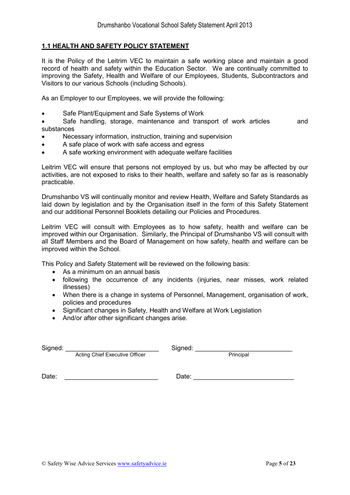#### **1.1 HEALTH AND SAFETY POLICY STATEMENT**

It is the Policy of the Leitrim VEC to maintain a safe working place and maintain a good record of health and safety within the Education Sector. We are continually committed to improving the Safety, Health and Welfare of our Employees, Students, Subcontractors and Visitors to our various Schools (including Schools).

As an Employer to our Employees, we will provide the following:

- Safe Plant/Equipment and Safe Systems of Work
- Safe handling, storage, maintenance and transport of work articles and substances
- Necessary information, instruction, training and supervision
- A safe place of work with safe access and egress
- A safe working environment with adequate welfare facilities

Leitrim VEC will ensure that persons not employed by us, but who may be affected by our activities, are not exposed to risks to their health, welfare and safety so far as is reasonably practicable.

Drumshanbo VS will continually monitor and review Health, Welfare and Safety Standards as laid down by legislation and by the Organisation itself in the form of this Safety Statement and our additional Personnel Booklets detailing our Policies and Procedures.

Leitrim VEC will consult with Employees as to how safety, health and welfare can be improved within our Organisation. Similarly, the Principal of Drumshanbo VS will consult with all Staff Members and the Board of Management on how safety, health and welfare can be improved within the School.

This Policy and Safety Statement will be reviewed on the following basis:

- As a minimum on an annual basis
- following the occurrence of any incidents (injuries, near misses, work related illnesses)
- When there is a change in systems of Personnel, Management, organisation of work, policies and procedures
- Significant changes in Safety, Health and Welfare at Work Legislation
- And/or after other significant changes arise.

| Signed: |                                | Signed: |           |  |
|---------|--------------------------------|---------|-----------|--|
|         | Acting Chief Executive Officer |         | Principal |  |

Date: \_\_\_\_\_\_\_\_\_\_\_\_\_\_\_\_\_\_\_\_\_\_\_\_\_\_ Date: \_\_\_\_\_\_\_\_\_\_\_\_\_\_\_\_\_\_\_\_\_\_\_\_\_\_\_\_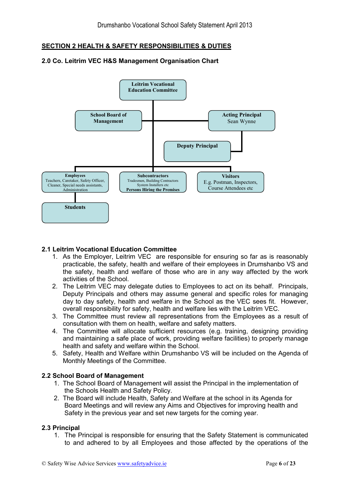## **SECTION 2 HEALTH & SAFETY RESPONSIBILITIES & DUTIES**



#### **2.0 Co. Leitrim VEC H&S Management Organisation Chart**

#### **2.1 Leitrim Vocational Education Committee**

- 1. As the Employer, Leitrim VEC are responsible for ensuring so far as is reasonably practicable, the safety, health and welfare of their employees in Drumshanbo VS and the safety, health and welfare of those who are in any way affected by the work activities of the School.
- 2. The Leitrim VEC may delegate duties to Employees to act on its behalf. Principals, Deputy Principals and others may assume general and specific roles for managing day to day safety, health and welfare in the School as the VEC sees fit. However, overall responsibility for safety, health and welfare lies with the Leitrim VEC.
- 3. The Committee must review all representations from the Employees as a result of consultation with them on health, welfare and safety matters.
- 4. The Committee will allocate sufficient resources (e.g. training, designing providing and maintaining a safe place of work, providing welfare facilities) to properly manage health and safety and welfare within the School.
- 5. Safety, Health and Welfare within Drumshanbo VS will be included on the Agenda of Monthly Meetings of the Committee.

#### **2.2 School Board of Management**

- 1. The School Board of Management will assist the Principal in the implementation of the Schools Health and Safety Policy.
- 2. The Board will include Health, Safety and Welfare at the school in its Agenda for Board Meetings and will review any Aims and Objectives for improving health and Safety in the previous year and set new targets for the coming year.

#### **2.3 Principal**

1. The Principal is responsible for ensuring that the Safety Statement is communicated to and adhered to by all Employees and those affected by the operations of the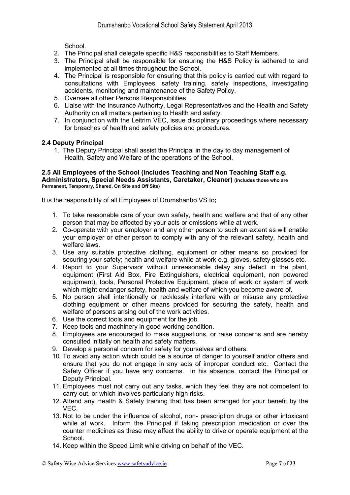School.

- 2. The Principal shall delegate specific H&S responsibilities to Staff Members.
- 3. The Principal shall be responsible for ensuring the H&S Policy is adhered to and implemented at all times throughout the School.
- 4. The Principal is responsible for ensuring that this policy is carried out with regard to consultations with Employees, safety training, safety inspections, investigating accidents, monitoring and maintenance of the Safety Policy.
- 5. Oversee all other Persons Responsibilities.
- 6. Liaise with the Insurance Authority, Legal Representatives and the Health and Safety Authority on all matters pertaining to Health and safety.
- 7. In conjunction with the Leitrim VEC, issue disciplinary proceedings where necessary for breaches of health and safety policies and procedures.

#### **2.4 Deputy Principal**

1. The Deputy Principal shall assist the Principal in the day to day management of Health, Safety and Welfare of the operations of the School.

#### **2.5 All Employees of the School (includes Teaching and Non Teaching Staff e.g. Administrators, Special Needs Assistants, Caretaker, Cleaner) (includes those who are Permanent, Temporary, Shared, On Site and Off Site)**

It is the responsibility of all Employees of Drumshanbo VS to**;** 

- 1. To take reasonable care of your own safety, health and welfare and that of any other person that may be affected by your acts or omissions while at work.
- 2. Co-operate with your employer and any other person to such an extent as will enable your employer or other person to comply with any of the relevant safety, health and welfare laws.
- 3. Use any suitable protective clothing, equipment or other means so provided for securing your safety; health and welfare while at work e.g. gloves, safety glasses etc.
- 4. Report to your Supervisor without unreasonable delay any defect in the plant, equipment (First Aid Box, Fire Extinguishers, electrical equipment, non powered equipment), tools, Personal Protective Equipment, place of work or system of work which might endanger safety, health and welfare of which you become aware of.
- 5. No person shall intentionally or recklessly interfere with or misuse any protective clothing equipment or other means provided for securing the safety, health and welfare of persons arising out of the work activities.
- 6. Use the correct tools and equipment for the job.
- 7. Keep tools and machinery in good working condition.
- 8. Employees are encouraged to make suggestions, or raise concerns and are hereby consulted initially on health and safety matters.
- 9. Develop a personal concern for safety for yourselves and others.
- 10. To avoid any action which could be a source of danger to yourself and/or others and ensure that you do not engage in any acts of improper conduct etc. Contact the Safety Officer if you have any concerns. In his absence, contact the Principal or Deputy Principal.
- 11. Employees must not carry out any tasks, which they feel they are not competent to carry out, or which involves particularly high risks.
- 12. Attend any Health & Safety training that has been arranged for your benefit by the VEC.
- 13. Not to be under the influence of alcohol, non- prescription drugs or other intoxicant while at work. Inform the Principal if taking prescription medication or over the counter medicines as these may affect the ability to drive or operate equipment at the School.
- 14. Keep within the Speed Limit while driving on behalf of the VEC.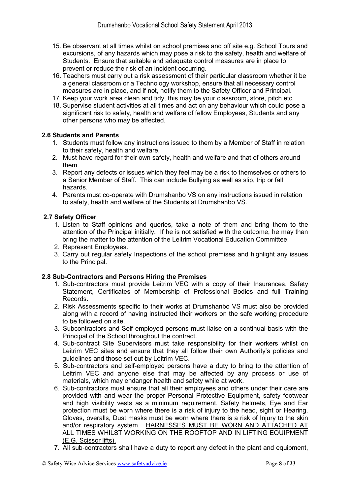- 15. Be observant at all times whilst on school premises and off site e.g. School Tours and excursions, of any hazards which may pose a risk to the safety, health and welfare of Students. Ensure that suitable and adequate control measures are in place to prevent or reduce the risk of an incident occurring.
- 16. Teachers must carry out a risk assessment of their particular classroom whether it be a general classroom or a Technology workshop, ensure that all necessary control measures are in place, and if not, notify them to the Safety Officer and Principal.
- 17. Keep your work area clean and tidy, this may be your classroom, store, pitch etc
- 18. Supervise student activities at all times and act on any behaviour which could pose a significant risk to safety, health and welfare of fellow Employees, Students and any other persons who may be affected.

#### **2.6 Students and Parents**

- 1. Students must follow any instructions issued to them by a Member of Staff in relation to their safety, health and welfare.
- 2. Must have regard for their own safety, health and welfare and that of others around them.
- 3. Report any defects or issues which they feel may be a risk to themselves or others to a Senior Member of Staff. This can include Bullying as well as slip, trip or fall hazards.
- 4. Parents must co-operate with Drumshanbo VS on any instructions issued in relation to safety, health and welfare of the Students at Drumshanbo VS.

#### **2.7 Safety Officer**

- 1. Listen to Staff opinions and queries, take a note of them and bring them to the attention of the Principal initially. If he is not satisfied with the outcome, he may than bring the matter to the attention of the Leitrim Vocational Education Committee.
- 2. Represent Employees.
- 3. Carry out regular safety Inspections of the school premises and highlight any issues to the Principal.

## **2.8 Sub-Contractors and Persons Hiring the Premises**

- 1. Sub-contractors must provide Leitrim VEC with a copy of their Insurances, Safety Statement, Certificates of Membership of Professional Bodies and full Training Records.
- 2. Risk Assessments specific to their works at Drumshanbo VS must also be provided along with a record of having instructed their workers on the safe working procedure to be followed on site.
- 3. Subcontractors and Self employed persons must liaise on a continual basis with the Principal of the School throughout the contract.
- 4. Sub-contract Site Supervisors must take responsibility for their workers whilst on Leitrim VEC sites and ensure that they all follow their own Authority's policies and guidelines and those set out by Leitrim VEC.
- 5. Sub-contractors and self-employed persons have a duty to bring to the attention of Leitrim VEC and anyone else that may be affected by any process or use of materials, which may endanger health and safety while at work.
- 6. Sub-contractors must ensure that all their employees and others under their care are provided with and wear the proper Personal Protective Equipment, safety footwear and high visibility vests as a minimum requirement. Safety helmets, Eye and Ear protection must be worn where there is a risk of injury to the head, sight or Hearing. Gloves, overalls, Dust masks must be worn where there is a risk of Injury to the skin and/or respiratory system. HARNESSES MUST BE WORN AND ATTACHED AT ALL TIMES WHILST WORKING ON THE ROOFTOP AND IN LIFTING EQUIPMENT (E.G. Scissor lifts).
- 7. All sub-contractors shall have a duty to report any defect in the plant and equipment,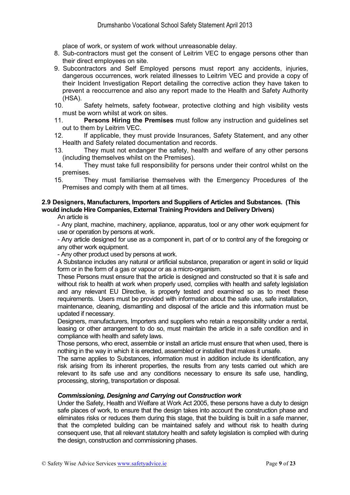place of work, or system of work without unreasonable delay.

- 8. Sub-contractors must get the consent of Leitrim VEC to engage persons other than their direct employees on site.
- 9. Subcontractors and Self Employed persons must report any accidents, injuries, dangerous occurrences, work related illnesses to Leitrim VEC and provide a copy of their Incident Investigation Report detailing the corrective action they have taken to prevent a reoccurrence and also any report made to the Health and Safety Authority (HSA).
- 10. Safety helmets, safety footwear, protective clothing and high visibility vests must be worn whilst at work on sites.<br>11 **Persons Hiring the Premise**
- 11. **Persons Hiring the Premises** must follow any instruction and guidelines set out to them by Leitrim VEC.
- 12. If applicable, they must provide Insurances, Safety Statement, and any other Health and Safety related documentation and records.
- 13. They must not endanger the safety, health and welfare of any other persons (including themselves whilst on the Premises).
- 14. They must take full responsibility for persons under their control whilst on the premises.
- 15. They must familiarise themselves with the Emergency Procedures of the Premises and comply with them at all times.

## **2.9 Designers, Manufacturers, Importers and Suppliers of Articles and Substances. (This would include Hire Companies, External Training Providers and Delivery Drivers)**

An article is

- Any plant, machine, machinery, appliance, apparatus, tool or any other work equipment for use or operation by persons at work.

- Any article designed for use as a component in, part of or to control any of the foregoing or any other work equipment.

- Any other product used by persons at work.

A Substance includes any natural or artificial substance, preparation or agent in solid or liquid form or in the form of a gas or vapour or as a micro-organism.

These Persons must ensure that the article is designed and constructed so that it is safe and without risk to health at work when properly used, complies with health and safety legislation and any relevant EU Directive, is properly tested and examined so as to meet these requirements. Users must be provided with information about the safe use, safe installation, maintenance, cleaning, dismantling and disposal of the article and this information must be updated if necessary.

Designers, manufacturers, Importers and suppliers who retain a responsibility under a rental, leasing or other arrangement to do so, must maintain the article in a safe condition and in compliance with health and safety laws.

Those persons, who erect, assemble or install an article must ensure that when used, there is nothing in the way in which it is erected, assembled or installed that makes it unsafe.

The same applies to Substances, information must in addition include its identification, any risk arising from its inherent properties, the results from any tests carried out which are relevant to its safe use and any conditions necessary to ensure its safe use, handling, processing, storing, transportation or disposal.

#### *Commissioning, Designing and Carrying out Construction work*

Under the Safety, Health and Welfare at Work Act 2005, these persons have a duty to design safe places of work, to ensure that the design takes into account the construction phase and eliminates risks or reduces them during this stage, that the building is built in a safe manner, that the completed building can be maintained safely and without risk to health during consequent use, that all relevant statutory health and safety legislation is complied with during the design, construction and commissioning phases.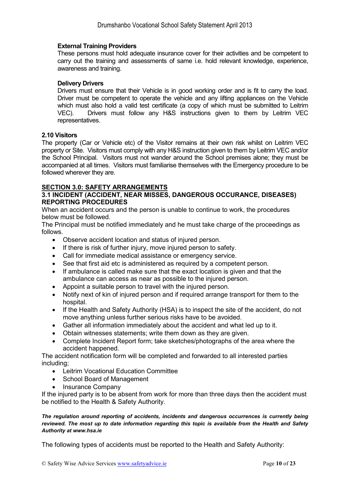#### **External Training Providers**

These persons must hold adequate insurance cover for their activities and be competent to carry out the training and assessments of same i.e. hold relevant knowledge, experience, awareness and training.

#### **Delivery Drivers**

Drivers must ensure that their Vehicle is in good working order and is fit to carry the load. Driver must be competent to operate the vehicle and any lifting appliances on the Vehicle which must also hold a valid test certificate (a copy of which must be submitted to Leitrim VEC). Drivers must follow any H&S instructions given to them by Leitrim VEC representatives.

#### **2.10 Visitors**

The property (Car or Vehicle etc) of the Visitor remains at their own risk whilst on Leitrim VEC property or Site. Visitors must comply with any H&S instruction given to them by Leitrim VEC and/or the School Principal. Visitors must not wander around the School premises alone; they must be accompanied at all times. Visitors must familiarise themselves with the Emergency procedure to be followed wherever they are.

#### **SECTION 3.0: SAFETY ARRANGEMENTS**

#### **3.1 INCIDENT (ACCIDENT, NEAR MISSES, DANGEROUS OCCURANCE, DISEASES) REPORTING PROCEDURES**

When an accident occurs and the person is unable to continue to work, the procedures below must be followed.

The Principal must be notified immediately and he must take charge of the proceedings as follows.

- Observe accident location and status of injured person.
- If there is risk of further injury, move injured person to safety.
- Call for immediate medical assistance or emergency service.
- See that first aid etc is administered as required by a competent person.
- If ambulance is called make sure that the exact location is given and that the ambulance can access as near as possible to the injured person.
- Appoint a suitable person to travel with the injured person.
- Notify next of kin of injured person and if required arrange transport for them to the hospital.
- If the Health and Safety Authority (HSA) is to inspect the site of the accident, do not move anything unless further serious risks have to be avoided.
- Gather all information immediately about the accident and what led up to it.
- Obtain witnesses statements; write them down as they are given.
- Complete Incident Report form; take sketches/photographs of the area where the accident happened.

The accident notification form will be completed and forwarded to all interested parties including;

- Leitrim Vocational Education Committee
- School Board of Management
- Insurance Company

If the injured party is to be absent from work for more than three days then the accident must be notified to the Health & Safety Authority.

#### *The regulation around reporting of accidents, incidents and dangerous occurrences is currently being reviewed. The most up to date information regarding this topic is available from the Health and Safety Authority at www.hsa.ie*

The following types of accidents must be reported to the Health and Safety Authority: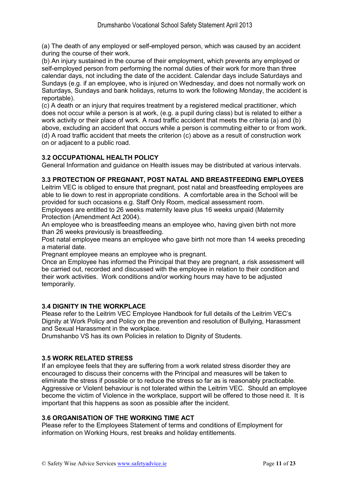(a) The death of any employed or self-employed person, which was caused by an accident during the course of their work.

(b) An injury sustained in the course of their employment, which prevents any employed or self-employed person from performing the normal duties of their work for more than three calendar days, not including the date of the accident. Calendar days include Saturdays and Sundays (e.g. if an employee, who is injured on Wednesday, and does not normally work on Saturdays, Sundays and bank holidays, returns to work the following Monday, the accident is reportable).

(c) A death or an injury that requires treatment by a registered medical practitioner, which does not occur while a person is at work, (e.g. a pupil during class) but is related to either a work activity or their place of work. A road traffic accident that meets the criteria (a) and (b) above, excluding an accident that occurs while a person is commuting either to or from work. (d) A road traffic accident that meets the criterion (c) above as a result of construction work on or adjacent to a public road.

#### **3.2 OCCUPATIONAL HEALTH POLICY**

General Information and guidance on Health issues may be distributed at various intervals.

#### **3.3 PROTECTION OF PREGNANT, POST NATAL AND BREASTFEEDING EMPLOYEES**

Leitrim VEC is obliged to ensure that pregnant, post natal and breastfeeding employees are able to lie down to rest in appropriate conditions. A comfortable area in the School will be provided for such occasions e.g. Staff Only Room, medical assessment room.

Employees are entitled to 26 weeks maternity leave plus 16 weeks unpaid (Maternity Protection (Amendment Act 2004).

An employee who is breastfeeding means an employee who, having given birth not more than 26 weeks previously is breastfeeding.

Post natal employee means an employee who gave birth not more than 14 weeks preceding a material date.

Pregnant employee means an employee who is pregnant.

Once an Employee has informed the Principal that they are pregnant, a risk assessment will be carried out, recorded and discussed with the employee in relation to their condition and their work activities. Work conditions and/or working hours may have to be adjusted temporarily.

#### **3.4 DIGNITY IN THE WORKPLACE**

Please refer to the Leitrim VEC Employee Handbook for full details of the Leitrim VEC's Dignity at Work Policy and Policy on the prevention and resolution of Bullying, Harassment and Sexual Harassment in the workplace.

Drumshanbo VS has its own Policies in relation to Dignity of Students.

#### **3.5 WORK RELATED STRESS**

If an employee feels that they are suffering from a work related stress disorder they are encouraged to discuss their concerns with the Principal and measures will be taken to eliminate the stress if possible or to reduce the stress so far as is reasonably practicable. Aggressive or Violent behaviour is not tolerated within the Leitrim VEC. Should an employee become the victim of Violence in the workplace, support will be offered to those need it. It is important that this happens as soon as possible after the incident.

#### **3.6 ORGANISATION OF THE WORKING TIME ACT**

Please refer to the Employees Statement of terms and conditions of Employment for information on Working Hours, rest breaks and holiday entitlements.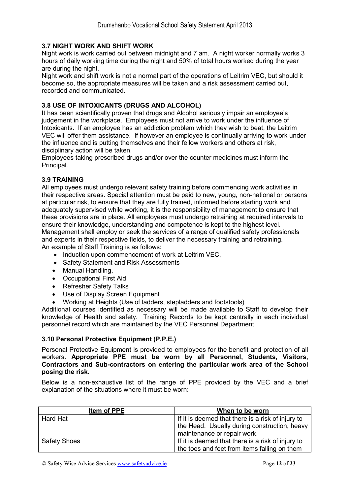### **3.7 NIGHT WORK AND SHIFT WORK**

Night work is work carried out between midnight and 7 am. A night worker normally works 3 hours of daily working time during the night and 50% of total hours worked during the year are during the night.

Night work and shift work is not a normal part of the operations of Leitrim VEC, but should it become so, the appropriate measures will be taken and a risk assessment carried out, recorded and communicated.

#### **3.8 USE OF INTOXICANTS (DRUGS AND ALCOHOL)**

It has been scientifically proven that drugs and Alcohol seriously impair an employee's judgement in the workplace. Employees must not arrive to work under the influence of Intoxicants. If an employee has an addiction problem which they wish to beat, the Leitrim VEC will offer them assistance. If however an employee is continually arriving to work under the influence and is putting themselves and their fellow workers and others at risk, disciplinary action will be taken.

Employees taking prescribed drugs and/or over the counter medicines must inform the Principal.

#### **3.9 TRAINING**

All employees must undergo relevant safety training before commencing work activities in their respective areas. Special attention must be paid to new, young, non-national or persons at particular risk, to ensure that they are fully trained, informed before starting work and adequately supervised while working, it is the responsibility of management to ensure that these provisions are in place. All employees must undergo retraining at required intervals to ensure their knowledge, understanding and competence is kept to the highest level. Management shall employ or seek the services of a range of qualified safety professionals and experts in their respective fields, to deliver the necessary training and retraining. An example of Staff Training is as follows:

- Induction upon commencement of work at Leitrim VEC,
- Safety Statement and Risk Assessments
- Manual Handling,
- Occupational First Aid
- Refresher Safety Talks
- Use of Display Screen Equipment
- Working at Heights (Use of ladders, stepladders and footstools)

Additional courses identified as necessary will be made available to Staff to develop their knowledge of Health and safety. Training Records to be kept centrally in each individual personnel record which are maintained by the VEC Personnel Department.

#### **3.10 Personal Protective Equipment (P.P.E.)**

Personal Protective Equipment is provided to employees for the benefit and protection of all workers**. Appropriate PPE must be worn by all Personnel, Students, Visitors, Contractors and Sub-contractors on entering the particular work area of the School posing the risk.**

Below is a non-exhaustive list of the range of PPE provided by the VEC and a brief explanation of the situations where it must be worn:

| Item of PPE         | When to be worn                                   |  |
|---------------------|---------------------------------------------------|--|
| Hard Hat            | If it is deemed that there is a risk of injury to |  |
|                     | the Head. Usually during construction, heavy      |  |
|                     | maintenance or repair work.                       |  |
| <b>Safety Shoes</b> | If it is deemed that there is a risk of injury to |  |
|                     | the toes and feet from items falling on them      |  |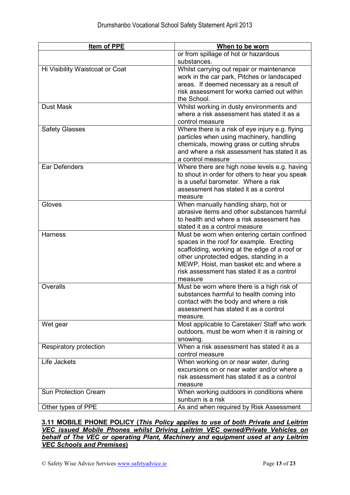| Item of PPE                     | When to be worn                                                                     |  |  |
|---------------------------------|-------------------------------------------------------------------------------------|--|--|
|                                 | or from spillage of hot or hazardous                                                |  |  |
|                                 | substances.                                                                         |  |  |
| Hi Visibility Waistcoat or Coat | Whilst carrying out repair or maintenance                                           |  |  |
|                                 | work in the car park, Pitches or landscaped                                         |  |  |
|                                 | areas. If deemed necessary as a result of                                           |  |  |
|                                 | risk assessment for works carried out within                                        |  |  |
|                                 | the School.                                                                         |  |  |
| <b>Dust Mask</b>                | Whilst working in dusty environments and                                            |  |  |
|                                 | where a risk assessment has stated it as a                                          |  |  |
|                                 | control measure                                                                     |  |  |
| <b>Safety Glasses</b>           | Where there is a risk of eye injury e.g. flying                                     |  |  |
|                                 | particles when using machinery, handling                                            |  |  |
|                                 | chemicals, mowing grass or cutting shrubs                                           |  |  |
|                                 | and where a risk assessment has stated it as                                        |  |  |
|                                 | a control measure                                                                   |  |  |
| Ear Defenders                   | Where there are high noise levels e.g. having                                       |  |  |
|                                 | to shout in order for others to hear you speak                                      |  |  |
|                                 | is a useful barometer. Where a risk                                                 |  |  |
|                                 | assessment has stated it as a control                                               |  |  |
| Gloves                          | measure                                                                             |  |  |
|                                 | When manually handling sharp, hot or<br>abrasive items and other substances harmful |  |  |
|                                 |                                                                                     |  |  |
|                                 | to health and where a risk assessment has                                           |  |  |
| <b>Harness</b>                  | stated it as a control measure<br>Must be worn when entering certain confined       |  |  |
|                                 | spaces in the roof for example. Erecting                                            |  |  |
|                                 | scaffolding, working at the edge of a roof or                                       |  |  |
|                                 | other unprotected edges, standing in a                                              |  |  |
|                                 | MEWP, Hoist, man basket etc and where a                                             |  |  |
|                                 | risk assessment has stated it as a control                                          |  |  |
|                                 | measure                                                                             |  |  |
| Overalls                        | Must be worn where there is a high risk of                                          |  |  |
|                                 | substances harmful to health coming into                                            |  |  |
|                                 | contact with the body and where a risk                                              |  |  |
|                                 | assessment has stated it as a control                                               |  |  |
|                                 | measure.                                                                            |  |  |
| Wet gear                        | Most applicable to Caretaker/ Staff who work                                        |  |  |
|                                 | outdoors, must be worn when it is raining or                                        |  |  |
|                                 | snowing.                                                                            |  |  |
| Respiratory protection          | When a risk assessment has stated it as a                                           |  |  |
|                                 | control measure                                                                     |  |  |
| Life Jackets                    | When working on or near water, during                                               |  |  |
|                                 | excursions on or near water and/or where a                                          |  |  |
|                                 | risk assessment has stated it as a control                                          |  |  |
|                                 | measure                                                                             |  |  |
| <b>Sun Protection Cream</b>     | When working outdoors in conditions where                                           |  |  |
|                                 | sunburn is a risk                                                                   |  |  |
| Other types of PPE              | As and when required by Risk Assessment                                             |  |  |

#### **3.11 MOBILE PHONE POLICY (***This Policy applies to use of both Private and Leitrim VEC issued Mobile Phones whilst Driving Leitrim VEC owned/Private Vehicles on behalf of The VEC or operating Plant, Machinery and equipment used at any Leitrim VEC Schools and Premises***)**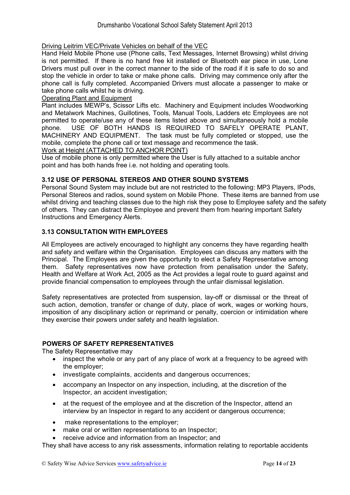#### Driving Leitrim VEC/Private Vehicles on behalf of the VEC

Hand Held Mobile Phone use (Phone calls, Text Messages, Internet Browsing) whilst driving is not permitted. If there is no hand free kit installed or Bluetooth ear piece in use, Lone Drivers must pull over in the correct manner to the side of the road if it is safe to do so and stop the vehicle in order to take or make phone calls. Driving may commence only after the phone call is fully completed. Accompanied Drivers must allocate a passenger to make or take phone calls whilst he is driving.

#### Operating Plant and Equipment

Plant includes MEWP's, Scissor Lifts etc. Machinery and Equipment includes Woodworking and Metalwork Machines, Guillotines, Tools, Manual Tools, Ladders etc Employees are not permitted to operate/use any of these items listed above and simultaneously hold a mobile phone. USE OF BOTH HANDS IS REQUIRED TO SAFELY OPERATE PLANT, MACHINERY AND EQUIPMENT. The task must be fully completed or stopped, use the mobile, complete the phone call or text message and recommence the task.

#### Work at Height (ATTACHED TO ANCHOR POINT)

Use of mobile phone is only permitted where the User is fully attached to a suitable anchor point and has both hands free i.e. not holding and operating tools.

#### **3.12 USE OF PERSONAL STEREOS AND OTHER SOUND SYSTEMS**

Personal Sound System may include but are not restricted to the following: MP3 Players, IPods, Personal Stereos and radios, sound system on Mobile Phone. These items are banned from use whilst driving and teaching classes due to the high risk they pose to Employee safety and the safety of others. They can distract the Employee and prevent them from hearing important Safety Instructions and Emergency Alerts.

#### **3.13 CONSULTATION WITH EMPLOYEES**

All Employees are actively encouraged to highlight any concerns they have regarding health and safety and welfare within the Organisation. Employees can discuss any matters with the Principal. The Employees are given the opportunity to elect a Safety Representative among them. Safety representatives now have protection from penalisation under the Safety, Health and Welfare at Work Act, 2005 as the Act provides a legal route to guard against and provide financial compensation to employees through the unfair dismissal legislation.

Safety representatives are protected from suspension, lay-off or dismissal or the threat of such action, demotion, transfer or change of duty, place of work, wages or working hours, imposition of any disciplinary action or reprimand or penalty, coercion or intimidation where they exercise their powers under safety and health legislation.

## **POWERS OF SAFETY REPRESENTATIVES**

The Safety Representative may

- inspect the whole or any part of any place of work at a frequency to be agreed with the employer;
- investigate complaints, accidents and dangerous occurrences;
- accompany an Inspector on any inspection, including, at the discretion of the Inspector, an accident investigation;
- at the request of the employee and at the discretion of the Inspector, attend an interview by an Inspector in regard to any accident or dangerous occurrence;
- make representations to the employer;
- make oral or written representations to an Inspector;
- receive advice and information from an Inspector; and

They shall have access to any risk assessments, information relating to reportable accidents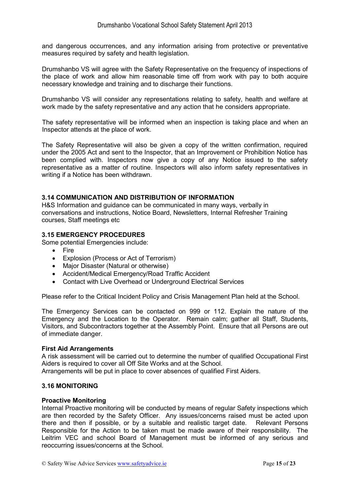and dangerous occurrences, and any information arising from protective or preventative measures required by safety and health legislation.

Drumshanbo VS will agree with the Safety Representative on the frequency of inspections of the place of work and allow him reasonable time off from work with pay to both acquire necessary knowledge and training and to discharge their functions.

Drumshanbo VS will consider any representations relating to safety, health and welfare at work made by the safety representative and any action that he considers appropriate.

The safety representative will be informed when an inspection is taking place and when an Inspector attends at the place of work.

The Safety Representative will also be given a copy of the written confirmation, required under the 2005 Act and sent to the Inspector, that an Improvement or Prohibition Notice has been complied with. Inspectors now give a copy of any Notice issued to the safety representative as a matter of routine. Inspectors will also inform safety representatives in writing if a Notice has been withdrawn.

#### **3.14 COMMUNICATION AND DISTRIBUTION OF INFORMATION**

H&S Information and guidance can be communicated in many ways, verbally in conversations and instructions, Notice Board, Newsletters, Internal Refresher Training courses, Staff meetings etc

## **3.15 EMERGENCY PROCEDURES**

Some potential Emergencies include:

- Fire
- Explosion (Process or Act of Terrorism)
- Major Disaster (Natural or otherwise)
- Accident/Medical Emergency/Road Traffic Accident
- Contact with Live Overhead or Underground Electrical Services

Please refer to the Critical Incident Policy and Crisis Management Plan held at the School.

The Emergency Services can be contacted on 999 or 112. Explain the nature of the Emergency and the Location to the Operator. Remain calm; gather all Staff, Students, Visitors, and Subcontractors together at the Assembly Point. Ensure that all Persons are out of immediate danger.

#### **First Aid Arrangements**

A risk assessment will be carried out to determine the number of qualified Occupational First Aiders is required to cover all Off Site Works and at the School.

Arrangements will be put in place to cover absences of qualified First Aiders.

#### **3.16 MONITORING**

#### **Proactive Monitoring**

Internal Proactive monitoring will be conducted by means of regular Safety inspections which are then recorded by the Safety Officer. Any issues/concerns raised must be acted upon there and then if possible, or by a suitable and realistic target date. Relevant Persons Responsible for the Action to be taken must be made aware of their responsibility. The Leitrim VEC and school Board of Management must be informed of any serious and reoccurring issues/concerns at the School.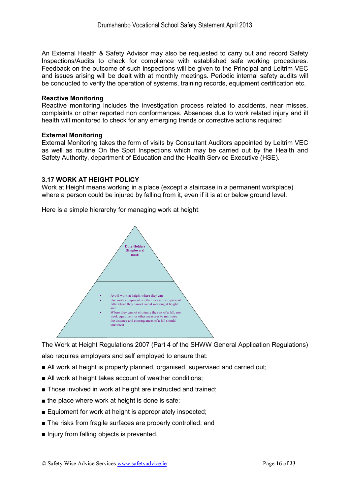An External Health & Safety Advisor may also be requested to carry out and record Safety Inspections/Audits to check for compliance with established safe working procedures. Feedback on the outcome of such inspections will be given to the Principal and Leitrim VEC and issues arising will be dealt with at monthly meetings. Periodic internal safety audits will be conducted to verify the operation of systems, training records, equipment certification etc.

#### **Reactive Monitoring**

Reactive monitoring includes the investigation process related to accidents, near misses, complaints or other reported non conformances. Absences due to work related injury and ill health will monitored to check for any emerging trends or corrective actions required

#### **External Monitoring**

External Monitoring takes the form of visits by Consultant Auditors appointed by Leitrim VEC as well as routine On the Spot Inspections which may be carried out by the Health and Safety Authority, department of Education and the Health Service Executive (HSE).

#### **3.17 WORK AT HEIGHT POLICY**

Work at Height means working in a place (except a staircase in a permanent workplace) where a person could be injured by falling from it, even if it is at or below ground level.





The Work at Height Regulations 2007 (Part 4 of the SHWW General Application Regulations) also requires employers and self employed to ensure that:

- All work at height is properly planned, organised, supervised and carried out;
- All work at height takes account of weather conditions;
- Those involved in work at height are instructed and trained:
- $\blacksquare$  the place where work at height is done is safe;
- Equipment for work at height is appropriately inspected;
- The risks from fragile surfaces are properly controlled; and
- Injury from falling objects is prevented.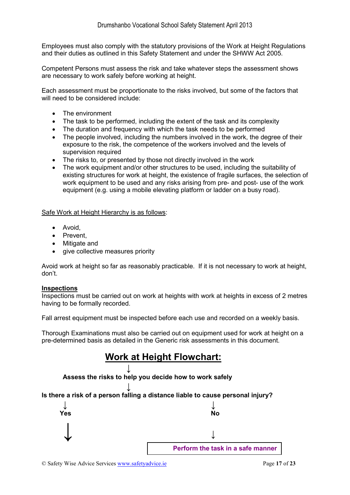Employees must also comply with the statutory provisions of the Work at Height Regulations and their duties as outlined in this Safety Statement and under the SHWW Act 2005.

Competent Persons must assess the risk and take whatever steps the assessment shows are necessary to work safely before working at height.

Each assessment must be proportionate to the risks involved, but some of the factors that will need to be considered include:

- The environment
- The task to be performed, including the extent of the task and its complexity
- The duration and frequency with which the task needs to be performed
- The people involved, including the numbers involved in the work, the degree of their exposure to the risk, the competence of the workers involved and the levels of supervision required
- The risks to, or presented by those not directly involved in the work
- The work equipment and/or other structures to be used, including the suitability of existing structures for work at height, the existence of fragile surfaces, the selection of work equipment to be used and any risks arising from pre- and post- use of the work equipment (e.g. using a mobile elevating platform or ladder on a busy road).

Safe Work at Height Hierarchy is as follows:

- Avoid,
- Prevent,
- Mitigate and
- give collective measures priority

Avoid work at height so far as reasonably practicable. If it is not necessary to work at height, don't.

#### **Inspections**

Inspections must be carried out on work at heights with work at heights in excess of 2 metres having to be formally recorded.

Fall arrest equipment must be inspected before each use and recorded on a weekly basis.

Thorough Examinations must also be carried out on equipment used for work at height on a pre-determined basis as detailed in the Generic risk assessments in this document.





**↓ Is there a risk of a person falling a distance liable to cause personal injury?** 

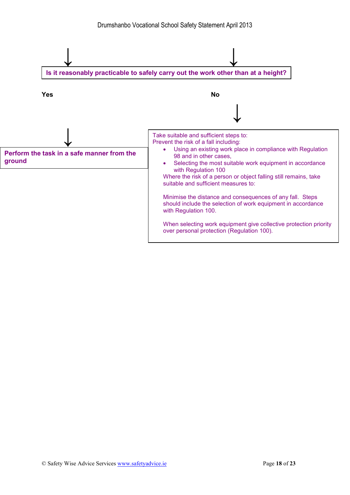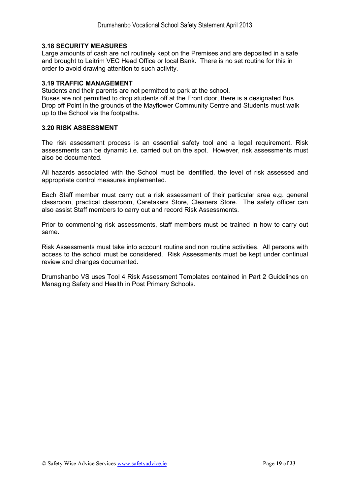#### **3.18 SECURITY MEASURES**

Large amounts of cash are not routinely kept on the Premises and are deposited in a safe and brought to Leitrim VEC Head Office or local Bank. There is no set routine for this in order to avoid drawing attention to such activity.

#### **3.19 TRAFFIC MANAGEMENT**

Students and their parents are not permitted to park at the school.

Buses are not permitted to drop students off at the Front door, there is a designated Bus Drop off Point in the grounds of the Mayflower Community Centre and Students must walk up to the School via the footpaths.

#### **3.20 RISK ASSESSMENT**

The risk assessment process is an essential safety tool and a legal requirement. Risk assessments can be dynamic i.e. carried out on the spot. However, risk assessments must also be documented.

All hazards associated with the School must be identified, the level of risk assessed and appropriate control measures implemented.

Each Staff member must carry out a risk assessment of their particular area e.g. general classroom, practical classroom, Caretakers Store, Cleaners Store. The safety officer can also assist Staff members to carry out and record Risk Assessments.

Prior to commencing risk assessments, staff members must be trained in how to carry out same.

Risk Assessments must take into account routine and non routine activities. All persons with access to the school must be considered. Risk Assessments must be kept under continual review and changes documented.

Drumshanbo VS uses Tool 4 Risk Assessment Templates contained in Part 2 Guidelines on Managing Safety and Health in Post Primary Schools.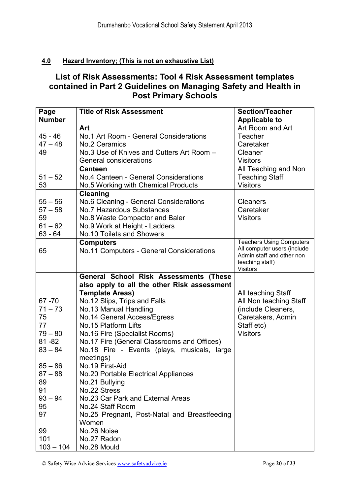## **4.0 Hazard Inventory; (This is not an exhaustive List)**

## **List of Risk Assessments: Tool 4 Risk Assessment templates contained in Part 2 Guidelines on Managing Safety and Health in Post Primary Schools**

| Page          | <b>Title of Risk Assessment</b>               | <b>Section/Teacher</b>                                   |
|---------------|-----------------------------------------------|----------------------------------------------------------|
| <b>Number</b> |                                               | <b>Applicable to</b>                                     |
|               | Art                                           | Art Room and Art                                         |
| $45 - 46$     | No.1 Art Room - General Considerations        | <b>Teacher</b>                                           |
| $47 - 48$     | No.2 Ceramics                                 | Caretaker                                                |
| 49            | No.3 Use of Knives and Cutters Art Room -     | Cleaner                                                  |
|               | General considerations                        | <b>Visitors</b>                                          |
|               | <b>Canteen</b>                                | All Teaching and Non                                     |
| $51 - 52$     | No.4 Canteen - General Considerations         | <b>Teaching Staff</b>                                    |
| 53            | No.5 Working with Chemical Products           | <b>Visitors</b>                                          |
|               | <b>Cleaning</b>                               |                                                          |
| $55 - 56$     | No.6 Cleaning - General Considerations        | <b>Cleaners</b>                                          |
| $57 - 58$     | <b>No.7 Hazardous Substances</b>              | Caretaker                                                |
| 59            | No.8 Waste Compactor and Baler                | <b>Visitors</b>                                          |
| $61 - 62$     | No.9 Work at Height - Ladders                 |                                                          |
| $63 - 64$     | No.10 Toilets and Showers                     |                                                          |
|               | <b>Computers</b>                              | <b>Teachers Using Computers</b>                          |
| 65            | No.11 Computers - General Considerations      | All computer users (include<br>Admin staff and other non |
|               |                                               | teaching staff)                                          |
|               |                                               | <b>Visitors</b>                                          |
|               | <b>General School Risk Assessments (These</b> |                                                          |
|               | also apply to all the other Risk assessment   |                                                          |
|               | <b>Template Areas)</b>                        | All teaching Staff                                       |
| $67 - 70$     | No.12 Slips, Trips and Falls                  | All Non teaching Staff                                   |
| $71 - 73$     | No.13 Manual Handling                         | (include Cleaners,                                       |
| 75            | No.14 General Access/Egress                   | Caretakers, Admin                                        |
| 77            | No.15 Platform Lifts                          | Staff etc)                                               |
| $79 - 80$     | No.16 Fire (Specialist Rooms)                 | <b>Visitors</b>                                          |
| $81 - 82$     | No.17 Fire (General Classrooms and Offices)   |                                                          |
| $83 - 84$     | No.18 Fire - Events (plays, musicals, large   |                                                          |
|               | meetings)                                     |                                                          |
| $85 - 86$     | No.19 First-Aid                               |                                                          |
| $87 - 88$     | No.20 Portable Electrical Appliances          |                                                          |
| 89            | No.21 Bullying                                |                                                          |
| 91            | No.22 Stress                                  |                                                          |
| $93 - 94$     | No.23 Car Park and External Areas             |                                                          |
| 95            | No.24 Staff Room                              |                                                          |
| 97            | No.25 Pregnant, Post-Natal and Breastfeeding  |                                                          |
|               | Women                                         |                                                          |
| 99            | No.26 Noise                                   |                                                          |
| 101           | No.27 Radon                                   |                                                          |
| $103 - 104$   | No.28 Mould                                   |                                                          |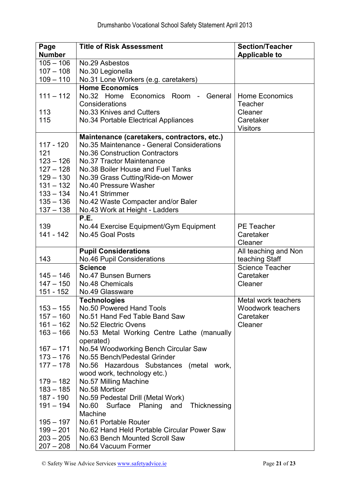| Page                       | <b>Title of Risk Assessment</b>                                               | <b>Section/Teacher</b> |
|----------------------------|-------------------------------------------------------------------------------|------------------------|
| <b>Number</b>              |                                                                               | <b>Applicable to</b>   |
| $105 - 106$                | No.29 Asbestos                                                                |                        |
| $107 - 108$                | No.30 Legionella                                                              |                        |
| $109 - 110$                | No.31 Lone Workers (e.g. caretakers)                                          |                        |
|                            | <b>Home Economics</b>                                                         |                        |
| $111 - 112$                | No.32 Home Economics Room - General                                           | <b>Home Economics</b>  |
|                            | Considerations                                                                | Teacher                |
| 113                        | No.33 Knives and Cutters                                                      | Cleaner                |
| 115                        | No.34 Portable Electrical Appliances                                          | Caretaker              |
|                            |                                                                               | <b>Visitors</b>        |
|                            | Maintenance (caretakers, contractors, etc.)                                   |                        |
| 117 - 120                  | No.35 Maintenance - General Considerations                                    |                        |
| 121                        | <b>No.36 Construction Contractors</b>                                         |                        |
| $123 - 126$                | <b>No.37 Tractor Maintenance</b>                                              |                        |
| $127 - 128$                | No.38 Boiler House and Fuel Tanks                                             |                        |
| $129 - 130$                | No.39 Grass Cutting/Ride-on Mower                                             |                        |
| $131 - 132$                | No.40 Pressure Washer                                                         |                        |
| $133 - 134$                | No.41 Strimmer                                                                |                        |
| $135 - 136$                | No.42 Waste Compacter and/or Baler                                            |                        |
| $137 - 138$                | No.43 Work at Height - Ladders                                                |                        |
|                            | P.E.                                                                          |                        |
| 139                        | No.44 Exercise Equipment/Gym Equipment                                        | <b>PE Teacher</b>      |
| $141 - 142$                | No.45 Goal Posts                                                              | Caretaker              |
|                            |                                                                               | Cleaner                |
|                            | <b>Pupil Considerations</b>                                                   | All teaching and Non   |
| 143                        | <b>No.46 Pupil Considerations</b>                                             | teaching Staff         |
|                            | <b>Science</b>                                                                | <b>Science Teacher</b> |
| $145 - 146$                | No.47 Bunsen Burners                                                          | Caretaker              |
| $147 - 150$                | No.48 Chemicals                                                               | Cleaner                |
| 151 - 152                  | No.49 Glassware                                                               |                        |
|                            | <b>Technologies</b>                                                           | Metal work teachers    |
| $153 - 155$                | No.50 Powered Hand Tools                                                      | Woodwork teachers      |
| $157 - 160$                | No.51 Hand Fed Table Band Saw                                                 | Caretaker              |
| $161 - 162$                | No.52 Electric Ovens                                                          | Cleaner                |
| $163 - 166$                | No.53 Metal Working Centre Lathe (manually                                    |                        |
| $167 - 171$                | operated)                                                                     |                        |
| $173 - 176$                | No.54 Woodworking Bench Circular Saw                                          |                        |
| $177 - 178$                | No.55 Bench/Pedestal Grinder                                                  |                        |
|                            | No.56 Hazardous Substances (metal work,                                       |                        |
| $179 - 182$                | wood work, technology etc.)                                                   |                        |
| $183 - 185$                | No.57 Milling Machine<br>No.58 Morticer                                       |                        |
| 187 - 190                  | No.59 Pedestal Drill (Metal Work)                                             |                        |
| $191 - 194$                |                                                                               |                        |
|                            |                                                                               |                        |
|                            | No.60 Surface Planing and<br>Thicknessing                                     |                        |
|                            | Machine                                                                       |                        |
| $195 - 197$                | No.61 Portable Router                                                         |                        |
| $199 - 201$<br>$203 - 205$ | No.62 Hand Held Portable Circular Power Saw<br>No.63 Bench Mounted Scroll Saw |                        |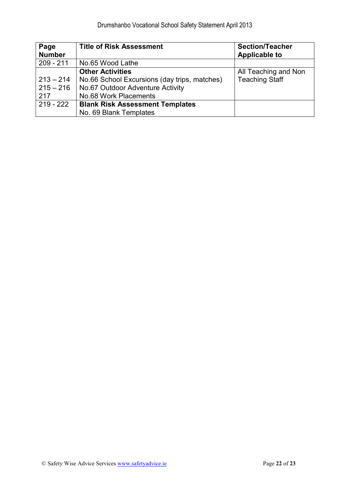| Page<br><b>Number</b> | <b>Title of Risk Assessment</b>              | <b>Section/Teacher</b><br><b>Applicable to</b> |
|-----------------------|----------------------------------------------|------------------------------------------------|
| $209 - 211$           | No.65 Wood Lathe                             |                                                |
|                       | <b>Other Activities</b>                      | All Teaching and Non                           |
| $213 - 214$           | No.66 School Excursions (day trips, matches) | <b>Teaching Staff</b>                          |
| $215 - 216$           | No.67 Outdoor Adventure Activity             |                                                |
| 217                   | No.68 Work Placements                        |                                                |
| $219 - 222$           | <b>Blank Risk Assessment Templates</b>       |                                                |
|                       | No. 69 Blank Templates                       |                                                |